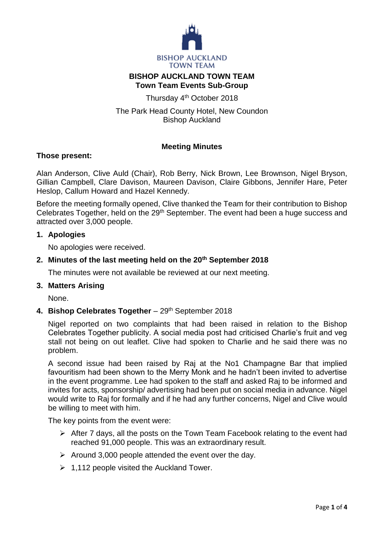

# **BISHOP AUCKLAND TOWN TEAM Town Team Events Sub-Group**

Thursday 4<sup>th</sup> October 2018

The Park Head County Hotel, New Coundon Bishop Auckland

# **Meeting Minutes**

## **Those present:**

Alan Anderson, Clive Auld (Chair), Rob Berry, Nick Brown, Lee Brownson, Nigel Bryson, Gillian Campbell, Clare Davison, Maureen Davison, Claire Gibbons, Jennifer Hare, Peter Heslop, Callum Howard and Hazel Kennedy.

Before the meeting formally opened, Clive thanked the Team for their contribution to Bishop Celebrates Together, held on the 29<sup>th</sup> September. The event had been a huge success and attracted over 3,000 people.

## **1. Apologies**

No apologies were received.

## **2. Minutes of the last meeting held on the 20th September 2018**

The minutes were not available be reviewed at our next meeting.

## **3. Matters Arising**

None.

## 4. Bishop Celebrates Together - 29<sup>th</sup> September 2018

Nigel reported on two complaints that had been raised in relation to the Bishop Celebrates Together publicity. A social media post had criticised Charlie's fruit and veg stall not being on out leaflet. Clive had spoken to Charlie and he said there was no problem.

A second issue had been raised by Raj at the No1 Champagne Bar that implied favouritism had been shown to the Merry Monk and he hadn't been invited to advertise in the event programme. Lee had spoken to the staff and asked Raj to be informed and invites for acts, sponsorship/ advertising had been put on social media in advance. Nigel would write to Raj for formally and if he had any further concerns, Nigel and Clive would be willing to meet with him.

The key points from the event were:

- $\triangleright$  After 7 days, all the posts on the Town Team Facebook relating to the event had reached 91,000 people. This was an extraordinary result.
- $\triangleright$  Around 3,000 people attended the event over the day.
- $\geq 1,112$  people visited the Auckland Tower.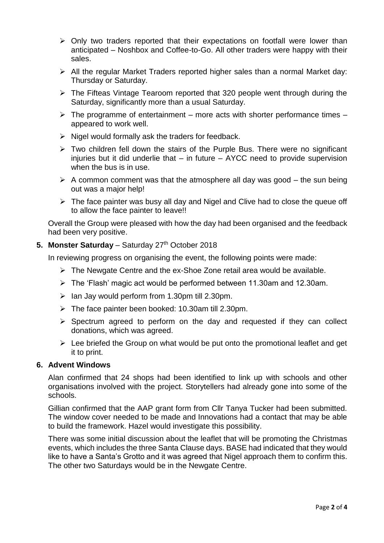- $\triangleright$  Only two traders reported that their expectations on footfall were lower than anticipated – Noshbox and Coffee-to-Go. All other traders were happy with their sales.
- All the regular Market Traders reported higher sales than a normal Market day: Thursday or Saturday.
- $\triangleright$  The Fifteas Vintage Tearoom reported that 320 people went through during the Saturday, significantly more than a usual Saturday.
- $\triangleright$  The programme of entertainment more acts with shorter performance times appeared to work well.
- $\triangleright$  Nigel would formally ask the traders for feedback.
- $\triangleright$  Two children fell down the stairs of the Purple Bus. There were no significant injuries but it did underlie that – in future – AYCC need to provide supervision when the bus is in use.
- $\triangleright$  A common comment was that the atmosphere all day was good the sun being out was a major help!
- $\triangleright$  The face painter was busy all day and Nigel and Clive had to close the queue off to allow the face painter to leave!!

Overall the Group were pleased with how the day had been organised and the feedback had been very positive.

#### 5. Monster Saturday - Saturday 27<sup>th</sup> October 2018

In reviewing progress on organising the event, the following points were made:

- $\triangleright$  The Newgate Centre and the ex-Shoe Zone retail area would be available.
- The 'Flash' magic act would be performed between 11.30am and 12.30am.
- $\triangleright$  Ian Jay would perform from 1.30pm till 2.30pm.
- $\triangleright$  The face painter been booked: 10.30am till 2.30pm.
- $\triangleright$  Spectrum agreed to perform on the day and requested if they can collect donations, which was agreed.
- $\triangleright$  Lee briefed the Group on what would be put onto the promotional leaflet and get it to print.

#### **6. Advent Windows**

Alan confirmed that 24 shops had been identified to link up with schools and other organisations involved with the project. Storytellers had already gone into some of the schools.

Gillian confirmed that the AAP grant form from Cllr Tanya Tucker had been submitted. The window cover needed to be made and Innovations had a contact that may be able to build the framework. Hazel would investigate this possibility.

There was some initial discussion about the leaflet that will be promoting the Christmas events, which includes the three Santa Clause days. BASE had indicated that they would like to have a Santa's Grotto and it was agreed that Nigel approach them to confirm this. The other two Saturdays would be in the Newgate Centre.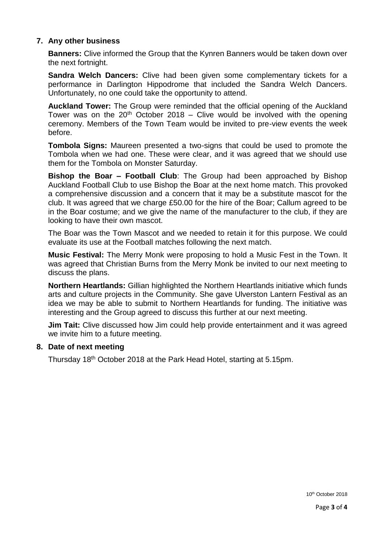## **7. Any other business**

**Banners:** Clive informed the Group that the Kynren Banners would be taken down over the next fortnight.

**Sandra Welch Dancers:** Clive had been given some complementary tickets for a performance in Darlington Hippodrome that included the Sandra Welch Dancers. Unfortunately, no one could take the opportunity to attend.

**Auckland Tower:** The Group were reminded that the official opening of the Auckland Tower was on the  $20<sup>th</sup>$  October 2018 – Clive would be involved with the opening ceremony. Members of the Town Team would be invited to pre-view events the week before.

**Tombola Signs:** Maureen presented a two-signs that could be used to promote the Tombola when we had one. These were clear, and it was agreed that we should use them for the Tombola on Monster Saturday.

**Bishop the Boar – Football Club**: The Group had been approached by Bishop Auckland Football Club to use Bishop the Boar at the next home match. This provoked a comprehensive discussion and a concern that it may be a substitute mascot for the club. It was agreed that we charge £50.00 for the hire of the Boar; Callum agreed to be in the Boar costume; and we give the name of the manufacturer to the club, if they are looking to have their own mascot.

The Boar was the Town Mascot and we needed to retain it for this purpose. We could evaluate its use at the Football matches following the next match.

**Music Festival:** The Merry Monk were proposing to hold a Music Fest in the Town. It was agreed that Christian Burns from the Merry Monk be invited to our next meeting to discuss the plans.

**Northern Heartlands:** Gillian highlighted the Northern Heartlands initiative which funds arts and culture projects in the Community. She gave Ulverston Lantern Festival as an idea we may be able to submit to Northern Heartlands for funding. The initiative was interesting and the Group agreed to discuss this further at our next meeting.

**Jim Tait:** Clive discussed how Jim could help provide entertainment and it was agreed we invite him to a future meeting.

## **8. Date of next meeting**

Thursday 18th October 2018 at the Park Head Hotel, starting at 5.15pm.